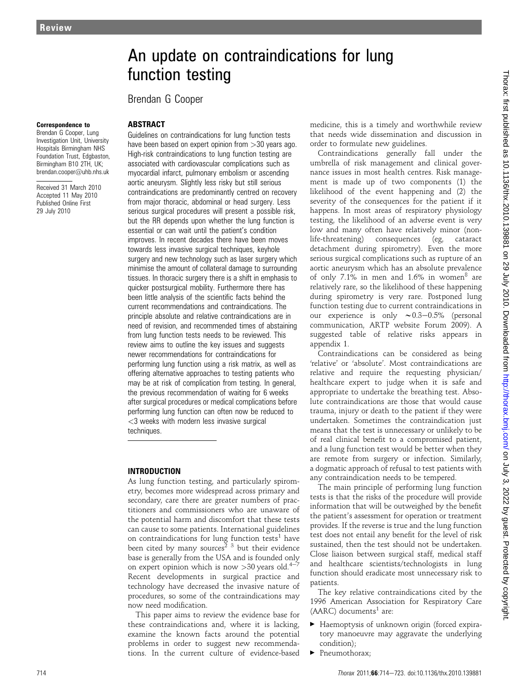#### Correspondence to

Brendan G Cooper, Lung Investigation Unit, University Hospitals Birmingham NHS Foundation Trust, Edgbaston, Birmingham B10 2TH, UK: brendan.cooper@uhb.nhs.uk

Received 31 March 2010 Accepted 11 May 2010 Published Online First 29 July 2010

## An update on contraindications for lung function testing

Brendan G Cooper

#### **ABSTRACT**

Guidelines on contraindications for lung function tests have been based on expert opinion from  $>$ 30 years ago. High-risk contraindications to lung function testing are associated with cardiovascular complications such as myocardial infarct, pulmonary embolism or ascending aortic aneurysm. Slightly less risky but still serious contraindications are predominantly centred on recovery from major thoracic, abdominal or head surgery. Less serious surgical procedures will present a possible risk, but the RR depends upon whether the lung function is essential or can wait until the patient's condition improves. In recent decades there have been moves towards less invasive surgical techniques, keyhole surgery and new technology such as laser surgery which minimise the amount of collateral damage to surrounding tissues. In thoracic surgery there is a shift in emphasis to quicker postsurgical mobility. Furthermore there has been little analysis of the scientific facts behind the current recommendations and contraindications. The principle absolute and relative contraindications are in need of revision, and recommended times of abstaining from lung function tests needs to be reviewed. This review aims to outline the key issues and suggests newer recommendations for contraindications for performing lung function using a risk matrix, as well as offering alternative approaches to testing patients who may be at risk of complication from testing. In general, the previous recommendation of waiting for 6 weeks after surgical procedures or medical complications before performing lung function can often now be reduced to  $<$ 3 weeks with modern less invasive surgical techniques.

#### INTRODUCTION

As lung function testing, and particularly spirometry, becomes more widespread across primary and secondary, care there are greater numbers of practitioners and commissioners who are unaware of the potential harm and discomfort that these tests can cause to some patients. International guidelines on contraindications for lung function tests<sup>1</sup> have been cited by many sources<sup>2</sup><sup>3</sup> but their evidence base is generally from the USA and is founded only on expert opinion which is now  $>30$  years old.<sup>4–</sup> Recent developments in surgical practice and technology have decreased the invasive nature of procedures, so some of the contraindications may now need modification.

This paper aims to review the evidence base for these contraindications and, where it is lacking, examine the known facts around the potential problems in order to suggest new recommendations. In the current culture of evidence-based medicine, this is a timely and worthwhile review that needs wide dissemination and discussion in order to formulate new guidelines.

Contraindications generally fall under the umbrella of risk management and clinical governance issues in most health centres. Risk management is made up of two components (1) the likelihood of the event happening and (2) the severity of the consequences for the patient if it happens. In most areas of respiratory physiology testing, the likelihood of an adverse event is very low and many often have relatively minor (nonlife-threatening) consequences (eg, cataract detachment during spirometry). Even the more serious surgical complications such as rupture of an aortic aneurysm which has an absolute prevalence of only 7.1% in men and 1.6% in women<sup>8</sup> are relatively rare, so the likelihood of these happening during spirometry is very rare. Postponed lung function testing due to current contraindications in our experience is only  $\sim 0.3-0.5$ % (personal communication, ARTP website Forum 2009). A suggested table of relative risks appears in appendix 1.

Contraindications can be considered as being 'relative' or 'absolute'. Most contraindications are relative and require the requesting physician/ healthcare expert to judge when it is safe and appropriate to undertake the breathing test. Absolute contraindications are those that would cause trauma, injury or death to the patient if they were undertaken. Sometimes the contraindication just means that the test is unnecessary or unlikely to be of real clinical benefit to a compromised patient, and a lung function test would be better when they are remote from surgery or infection. Similarly, a dogmatic approach of refusal to test patients with any contraindication needs to be tempered.

The main principle of performing lung function tests is that the risks of the procedure will provide information that will be outweighed by the benefit the patient's assessment for operation or treatment provides. If the reverse is true and the lung function test does not entail any benefit for the level of risk sustained, then the test should not be undertaken. Close liaison between surgical staff, medical staff and healthcare scientists/technologists in lung function should eradicate most unnecessary risk to patients.

The key relative contraindications cited by the 1996 American Association for Respiratory Care  $(AARC)$  documents<sup>1</sup> are:

- < Haemoptysis of unknown origin (forced expiratory manoeuvre may aggravate the underlying condition);
- ▶ Pneumothorax;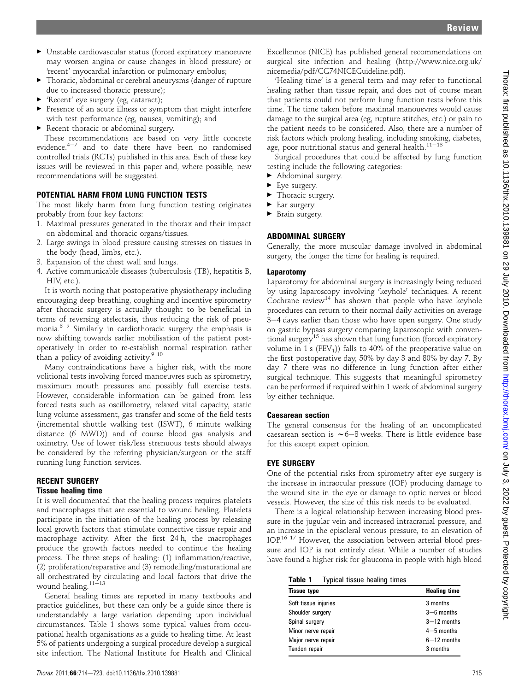- < Unstable cardiovascular status (forced expiratory manoeuvre may worsen angina or cause changes in blood pressure) or 'recent' myocardial infarction or pulmonary embolus;
- < Thoracic, abdominal or cerebral aneurysms (danger of rupture due to increased thoracic pressure);
- < 'Recent' eye surgery (eg, cataract);
- ▶ Presence of an acute illness or symptom that might interfere with test performance (eg, nausea, vomiting); and
- Recent thoracic or abdominal surgery.

These recommendations are based on very little concrete evidence. $4-7$  and to date there have been no randomised controlled trials (RCTs) published in this area. Each of these key issues will be reviewed in this paper and, where possible, new recommendations will be suggested.

#### POTENTIAL HARM FROM LUNG FUNCTION TESTS

The most likely harm from lung function testing originates probably from four key factors:

- 1. Maximal pressures generated in the thorax and their impact on abdominal and thoracic organs/tissues.
- 2. Large swings in blood pressure causing stresses on tissues in the body (head, limbs, etc.).
- 3. Expansion of the chest wall and lungs.
- 4. Active communicable diseases (tuberculosis (TB), hepatitis B, HIV, etc.).

It is worth noting that postoperative physiotherapy including encouraging deep breathing, coughing and incentive spirometry after thoracic surgery is actually thought to be beneficial in terms of reversing atelectasis, thus reducing the risk of pneumonia.<sup>8</sup> <sup>9</sup> Similarly in cardiothoracic surgery the emphasis is now shifting towards earlier mobilisation of the patient postoperatively in order to re-establish normal respiration rather than a policy of avoiding activity.<sup>9 10</sup>

Many contraindications have a higher risk, with the more volitional tests involving forced manoeuvres such as spirometry, maximum mouth pressures and possibly full exercise tests. However, considerable information can be gained from less forced tests such as oscillometry, relaxed vital capacity, static lung volume assessment, gas transfer and some of the field tests (incremental shuttle walking test (ISWT), 6 minute walking distance (6 MWD)) and of course blood gas analysis and oximetry. Use of lower risk/less strenuous tests should always be considered by the referring physician/surgeon or the staff running lung function services.

### RECENT SURGERY

#### Tissue healing time

It is well documented that the healing process requires platelets and macrophages that are essential to wound healing. Platelets participate in the initiation of the healing process by releasing local growth factors that stimulate connective tissue repair and macrophage activity. After the first 24 h, the macrophages produce the growth factors needed to continue the healing process. The three steps of healing: (1) inflammation/reactive, (2) proliferation/reparative and (3) remodelling/maturational are all orchestrated by circulating and local factors that drive the<br>wound healing.<sup>11–13</sup>

General healing times are reported in many textbooks and practice guidelines, but these can only be a guide since there is understandably a large variation depending upon individual circumstances. Table 1 shows some typical values from occupational health organisations as a guide to healing time. At least 5% of patients undergoing a surgical procedure develop a surgical site infection. The National Institute for Health and Clinical

Excellennce (NICE) has published general recommendations on surgical site infection and healing (http://www.nice.org.uk/ nicemedia/pdf/CG74NICEGuideline.pdf).

'Healing time' is a general term and may refer to functional healing rather than tissue repair, and does not of course mean that patients could not perform lung function tests before this time. The time taken before maximal manouevres would cause damage to the surgical area (eg, rupture stitches, etc.) or pain to the patient needs to be considered. Also, there are a number of risk factors which prolong healing, including smoking, diabetes, age, poor nutritional status and general health. $11-13$ 

Surgical procedures that could be affected by lung function testing include the following categories:

- < Abdominal surgery.
- Eye surgery.
- Thoracic surgery.
- Ear surgery.
- < Brain surgery.

#### ABDOMINAL SURGERY

Generally, the more muscular damage involved in abdominal surgery, the longer the time for healing is required.

#### Laparotomy

Laparotomy for abdominal surgery is increasingly being reduced by using laparoscopy involving 'keyhole' techniques. A recent Cochrane  $review^{14}$  has shown that people who have keyhole procedures can return to their normal daily activities on average 3–4 days earlier than those who have open surgery. One study on gastric bypass surgery comparing laparoscopic with conventional surgery<sup>15</sup> has shown that lung function (forced expiratory volume in 1 s (FEV<sub>1</sub>)) falls to 40% of the preoperative value on the first postoperative day, 50% by day 3 and 80% by day 7. By day 7 there was no difference in lung function after either surgical technique. This suggests that meaningful spirometry can be performed if required within 1 week of abdominal surgery by either technique.

#### Caesarean section

The general consensus for the healing of an uncomplicated caesarean section is  $\sim$  6–8 weeks. There is little evidence base for this except expert opinion.

#### EYE SURGERY

One of the potential risks from spirometry after eye surgery is the increase in intraocular pressure (IOP) producing damage to the wound site in the eye or damage to optic nerves or blood vessels. However, the size of this risk needs to be evaluated.

There is a logical relationship between increasing blood pressure in the jugular vein and increased intracranial pressure, and an increase in the episcleral venous pressure, to an elevation of IOP.<sup>16 17</sup> However, the association between arterial blood pressure and IOP is not entirely clear. While a number of studies have found a higher risk for glaucoma in people with high blood

| Table 1 |  |  | Typical tissue healing times |  |
|---------|--|--|------------------------------|--|
|---------|--|--|------------------------------|--|

| <b>Tissue type</b>   | <b>Healing time</b> |
|----------------------|---------------------|
| Soft tissue injuries | 3 months            |
| Shoulder surgery     | $3 - 6$ months      |
| Spinal surgery       | $3-12$ months       |
| Minor nerve repair   | $4-5$ months        |
| Major nerve repair   | $6-12$ months       |
| Tendon repair        | 3 months            |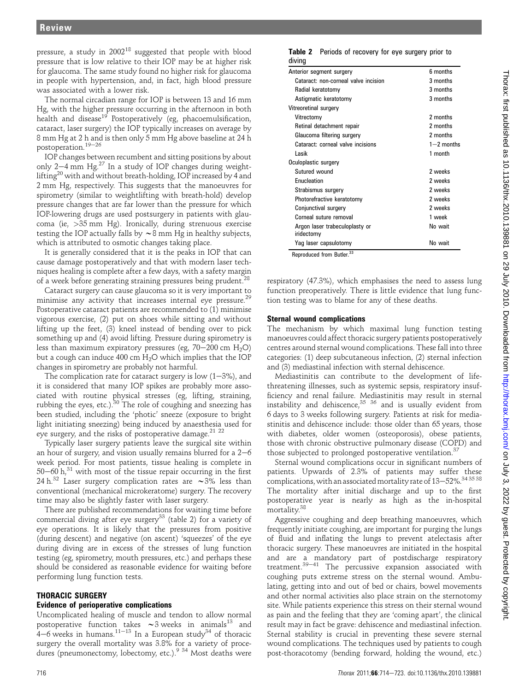pressure, a study in 2002<sup>18</sup> suggested that people with blood pressure that is low relative to their IOP may be at higher risk for glaucoma. The same study found no higher risk for glaucoma in people with hypertension, and, in fact, high blood pressure was associated with a lower risk.

The normal circadian range for IOP is between 13 and 16 mm Hg, with the higher pressure occurring in the afternoon in both health and disease<sup>19</sup> Postoperatively (eg, phacoemulsification, cataract, laser surgery) the IOP typically increases on average by 8 mm Hg at 2 h and is then only 5 mm Hg above baseline at 24 h postoperation. $19-26$ 

IOP changes between recumbent and sitting positions by about only 2–4 mm Hg. $^{27}$  In a study of IOP changes during weightlifting<sup>20</sup> with and without breath-holding, IOP increased by 4 and 2 mm Hg, respectively. This suggests that the manoeuvres for spirometry (similar to weightlifting with breath-hold) develop pressure changes that are far lower than the pressure for which IOP-lowering drugs are used postsurgery in patients with glaucoma (ie, >35 mm Hg). Ironically, during strenuous exercise testing the IOP actually falls by  $\sim$  8 mm Hg in healthy subjects, which is attributed to osmotic changes taking place.

It is generally considered that it is the peaks in IOP that can cause damage postoperatively and that with modern laser techniques healing is complete after a few days, with a safety margin of a week before generating straining pressures being prudent.<sup>28</sup>

Cataract surgery can cause glaucoma so it is very important to minimise any activity that increases internal eye pressure.<sup>29</sup> Postoperative cataract patients are recommended to (1) minimise vigorous exercise, (2) put on shoes while sitting and without lifting up the feet, (3) kneel instead of bending over to pick something up and (4) avoid lifting. Pressure during spirometry is less than maximum expiratory pressures (eg,  $70-200$  cm  $H_2O$ ) but a cough can induce 400 cm  $H_2O$  which implies that the IOP changes in spirometry are probably not harmful.

The complication rate for cataract surgery is low  $(1-3\%)$ , and it is considered that many IOP spikes are probably more associated with routine physical stresses (eg, lifting, straining, rubbing the eyes, etc.). $30$  The role of coughing and sneezing has been studied, including the 'photic' sneeze (exposure to bright light initiating sneezing) being induced by anaesthesia used for eye surgery, and the risks of postoperative damage.<sup>21</sup><sup>22</sup>

Typically laser surgery patients leave the surgical site within an hour of surgery, and vision usually remains blurred for a  $2-6$ week period. For most patients, tissue healing is complete in  $50-60$  h,<sup>31</sup> with most of the tissue repair occurring in the first 24 h.<sup>32</sup> Laser surgery complication rates are  $\sim$  3% less than conventional (mechanical microkeratome) surgery. The recovery time may also be slightly faster with laser surgery.

There are published recommendations for waiting time before commercial diving after eye surgery<sup>33</sup> (table 2) for a variety of eye operations. It is likely that the pressures from positive (during descent) and negative (on ascent) 'squeezes' of the eye during diving are in excess of the stresses of lung function testing (eg, spirometry, mouth pressures, etc.) and perhaps these should be considered as reasonable evidence for waiting before performing lung function tests.

#### THORACIC SURGERY

#### Evidence of perioperative complications

Uncomplicated healing of muscle and tendon to allow normal postoperative function takes  $\sim$ 3 weeks in animals<sup>13</sup> and 4–6 weeks in humans.<sup>11–13</sup> In a European study<sup>34</sup> of thoracic surgery the overall mortality was 3.8% for a variety of procedures (pneumonectomy, lobectomy, etc.).<sup>9 34</sup> Most deaths were

#### Table 2 Periods of recovery for eye surgery prior to diving

| . <u>.</u>                                   |                |
|----------------------------------------------|----------------|
| Anterior segment surgery                     | 6 months       |
| Cataract: non-corneal valve incision         | 3 months       |
| Radial keratotomy                            | 3 months       |
| Astigmatic keratotomy                        | 3 months       |
| Vitreoretinal surgery                        |                |
| Vitrectomy                                   | 2 months       |
| Retinal detachment repair                    | 2 months       |
| Glaucoma filtering surgery                   | 2 months       |
| Cataract: corneal valve incisions            | $1 - 2$ months |
| Lasik                                        | 1 month        |
| Oculoplastic surgery                         |                |
| Sutured wound                                | 2 weeks        |
| Enucleation                                  | 2 weeks        |
| Strabismus surgery                           | 2 weeks        |
| Photorefractive keratotomy                   | 2 weeks        |
| Conjunctival surgery                         | 2 weeks        |
| Corneal suture removal                       | 1 week         |
| Argon laser trabeculoplasty or<br>iridectomy | No wait        |
| Yag laser capsulotomy                        | No wait        |
| Reproduced from Butler. <sup>33</sup>        |                |

respiratory (47.3%), which emphasises the need to assess lung function preoperatively. There is little evidence that lung function testing was to blame for any of these deaths.

#### Sternal wound complications

The mechanism by which maximal lung function testing manoeuvres could affect thoracic surgery patients postoperatively centres around sternal wound complications. These fall into three categories: (1) deep subcutaneous infection, (2) sternal infection and (3) mediastinal infection with sternal dehiscence.

Mediastinitis can contribute to the development of lifethreatening illnesses, such as systemic sepsis, respiratory insufficiency and renal failure. Mediastinitis may result in sternal instability and dehiscence,  $35 - 36$  and is usually evident from 6 days to 3 weeks following surgery. Patients at risk for mediastinitis and dehiscence include: those older than 65 years, those with diabetes, older women (osteoporosis), obese patients, those with chronic obstructive pulmonary disease (COPD) and those subjected to prolonged postoperative ventilation.<sup>37</sup>

Sternal wound complications occur in significant numbers of patients. Upwards of 2.3% of patients may suffer these complications, with an associated mortality rate of  $13-52\%$ .  $^{34\,35\,38}$ The mortality after initial discharge and up to the first postoperative year is nearly as high as the in-hospital mortality.38

Aggressive coughing and deep breathing manoeuvres, which frequently initiate coughing, are important for purging the lungs of fluid and inflating the lungs to prevent atelectasis after thoracic surgery. These manoeuvres are initiated in the hospital and are a mandatory part of postdischarge respiratory treatment. $39-41$  The percussive expansion associated with coughing puts extreme stress on the sternal wound. Ambulating, getting into and out of bed or chairs, bowel movements and other normal activities also place strain on the sternotomy site. While patients experience this stress on their sternal wound as pain and the feeling that they are 'coming apart', the clinical result may in fact be grave: dehiscence and mediastinal infection. Sternal stability is crucial in preventing these severe sternal wound complications. The techniques used by patients to cough post-thoracotomy (bending forward, holding the wound, etc.)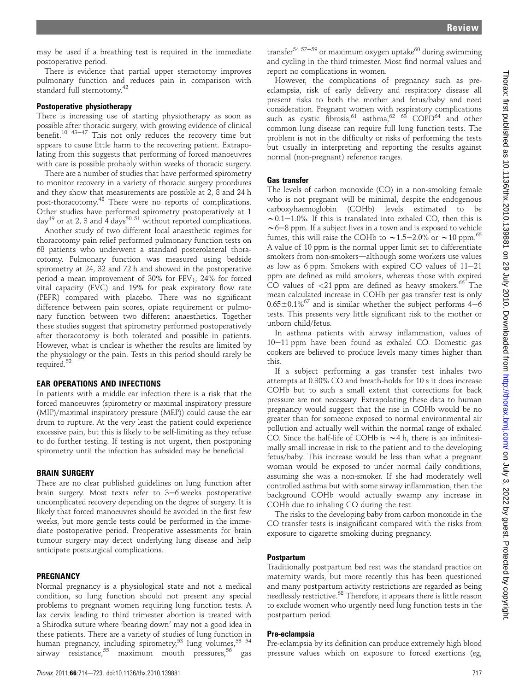may be used if a breathing test is required in the immediate postoperative period.

There is evidence that partial upper sternotomy improves pulmonary function and reduces pain in comparison with standard full sternotomy.<sup>42</sup>

#### Postoperative physiotherapy

There is increasing use of starting physiotherapy as soon as possible after thoracic surgery, with growing evidence of clinical benefit.<sup>10</sup> <sup>43-47</sup> This not only reduces the recovery time but appears to cause little harm to the recovering patient. Extrapolating from this suggests that performing of forced manoeuvres with care is possible probably within weeks of thoracic surgery.

There are a number of studies that have performed spirometry to monitor recovery in a variety of thoracic surgery procedures and they show that measurements are possible at 2, 8 and 24 h post-thoracotomy.48 There were no reports of complications. Other studies have performed spirometry postoperatively at 1 day<sup>49</sup> or at 2, 3 and 4 days<sup>50 51</sup> without reported complications.

Another study of two different local anaesthetic regimes for thoracotomy pain relief performed pulmonary function tests on 68 patients who underwent a standard posterolateral thoracotomy. Pulmonary function was measured using bedside spirometry at 24, 32 and 72 h and showed in the postoperative period a mean improvement of  $30\%$  for  $FEV_1$ ,  $24\%$  for forced vital capacity (FVC) and 19% for peak expiratory flow rate (PEFR) compared with placebo. There was no significant difference between pain scores, opiate requirement or pulmonary function between two different anaesthetics. Together these studies suggest that spirometry performed postoperatively after thoracotomy is both tolerated and possible in patients. However, what is unclear is whether the results are limited by the physiology or the pain. Tests in this period should rarely be required.<sup>52</sup>

#### EAR OPERATIONS AND INFECTIONS

In patients with a middle ear infection there is a risk that the forced manoeuvres (spirometry or maximal inspiratory pressure (MIP)/maximal inspiratory pressure (MEP)) could cause the ear drum to rupture. At the very least the patient could experience excessive pain, but this is likely to be self-limiting as they refuse to do further testing. If testing is not urgent, then postponing spirometry until the infection has subsided may be beneficial.

#### BRAIN SURGERY

There are no clear published guidelines on lung function after brain surgery. Most texts refer to  $3-6$  weeks postoperative uncomplicated recovery depending on the degree of surgery. It is likely that forced manoeuvres should be avoided in the first few weeks, but more gentle tests could be performed in the immediate postoperative period. Preoperative assessments for brain tumour surgery may detect underlying lung disease and help anticipate postsurgical complications.

#### **PREGNANCY**

Normal pregnancy is a physiological state and not a medical condition, so lung function should not present any special problems to pregnant women requiring lung function tests. A lax cervix leading to third trimester abortion is treated with a Shirodka suture where 'bearing down' may not a good idea in these patients. There are a variety of studies of lung function in human pregnancy, including spirometry,<sup>53</sup> lung volumes,<sup>53 54</sup> airway resistance,  $55$  maximum mouth pressures,  $56$ 

transfer<sup>54 57-59</sup> or maximum oxygen uptake<sup>60</sup> during swimming and cycling in the third trimester. Most find normal values and report no complications in women.

However, the complications of pregnancy such as preeclampsia, risk of early delivery and respiratory disease all present risks to both the mother and fetus/baby and need consideration. Pregnant women with respiratory complications such as cystic fibrosis,  $61$  asthma,  $62$   $63$  COPD $64$  and other common lung disease can require full lung function tests. The problem is not in the difficulty or risks of performing the tests but usually in interpreting and reporting the results against normal (non-pregnant) reference ranges.

#### Gas transfer

The levels of carbon monoxide (CO) in a non-smoking female who is not pregnant will be minimal, despite the endogenous carboxyhaemoglobin (COHb) levels estimated to be  $\sim$  0.1–1.0%. If this is translated into exhaled CO, then this is  $\sim$  6–8 ppm. If a subject lives in a town and is exposed to vehicle fumes, this will raise the COHb to  $\sim$  1.5–2.0% or  $\sim$  10 ppm.<sup>65</sup> A value of 10 ppm is the normal upper limit set to differentiate smokers from non-smokers-although some workers use values as low as 6 ppm. Smokers with expired CO values of  $11-21$ ppm are defined as mild smokers, whereas those with expired CO values of  $\langle 21 \text{ ppm}$  are defined as heavy smokers.<sup>66</sup> The mean calculated increase in COHb per gas transfer test is only  $0.65\pm0.1\%$ <sup>67</sup> and is similar whether the subject performs 4-6 tests. This presents very little significant risk to the mother or unborn child/fetus.

In asthma patients with airway inflammation, values of  $10-11$  ppm have been found as exhaled CO. Domestic gas cookers are believed to produce levels many times higher than this.

If a subject performing a gas transfer test inhales two attempts at 0.30% CO and breath-holds for 10 s it does increase COHb but to such a small extent that corrections for back pressure are not necessary. Extrapolating these data to human pregnancy would suggest that the rise in COHb would be no greater than for someone exposed to normal environmental air pollution and actually well within the normal range of exhaled CO. Since the half-life of COHb is  $\sim$  4 h, there is an infinitesimally small increase in risk to the patient and to the developing fetus/baby. This increase would be less than what a pregnant woman would be exposed to under normal daily conditions, assuming she was a non-smoker. If she had moderately well controlled asthma but with some airway inflammation, then the background COHb would actually swamp any increase in COHb due to inhaling CO during the test.

The risks to the developing baby from carbon monoxide in the CO transfer tests is insignificant compared with the risks from exposure to cigarette smoking during pregnancy.

#### **Postpartum**

Traditionally postpartum bed rest was the standard practice on maternity wards, but more recently this has been questioned and many postpartum activity restrictions are regarded as being needlessly restrictive.<sup>68</sup> Therefore, it appears there is little reason to exclude women who urgently need lung function tests in the postpartum period.

#### Pre-eclampsia

Pre-eclampsia by its definition can produce extremely high blood pressure values which on exposure to forced exertions (eg,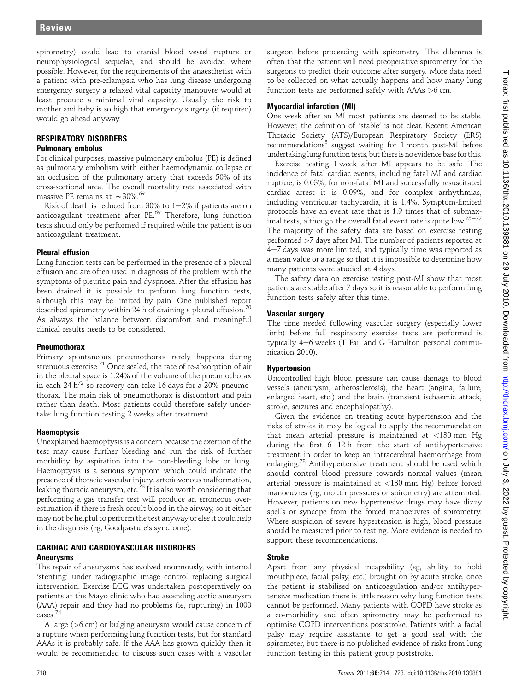spirometry) could lead to cranial blood vessel rupture or neurophysiological sequelae, and should be avoided where possible. However, for the requirements of the anaesthetist with a patient with pre-eclampsia who has lung disease undergoing emergency surgery a relaxed vital capacity manouvre would at least produce a minimal vital capacity. Usually the risk to mother and baby is so high that emergency surgery (if required) would go ahead anyway.

#### RESPIRATORY DISORDERS

#### Pulmonary embolus

For clinical purposes, massive pulmonary embolus (PE) is defined as pulmonary embolism with either haemodynamic collapse or an occlusion of the pulmonary artery that exceeds 50% of its cross-sectional area. The overall mortality rate associated with massive PE remains at  $\sim$  30%.<sup>69</sup>

Risk of death is reduced from  $30\%$  to  $1-2\%$  if patients are on anticoagulant treatment after PE.<sup>69</sup> Therefore, lung function tests should only be performed if required while the patient is on anticoagulant treatment.

#### Pleural effusion

Lung function tests can be performed in the presence of a pleural effusion and are often used in diagnosis of the problem with the symptoms of pleuritic pain and dyspnoea. After the effusion has been drained it is possible to perform lung function tests, although this may be limited by pain. One published report described spirometry within 24 h of draining a pleural effusion.<sup>70</sup> As always the balance between discomfort and meaningful clinical results needs to be considered.

#### **Pneumothorax**

Primary spontaneous pneumothorax rarely happens during strenuous exercise. $^{71}$  Once sealed, the rate of re-absorption of air in the pleural space is 1.24% of the volume of the pneumothorax in each 24  $h^{72}$  so recovery can take 16 days for a 20% pneumothorax. The main risk of pneumothorax is discomfort and pain rather than death. Most patients could therefore safely undertake lung function testing 2 weeks after treatment.

#### **Haemoptysis**

Unexplained haemoptysis is a concern because the exertion of the test may cause further bleeding and run the risk of further morbidity by aspiration into the non-bleeding lobe or lung. Haemoptysis is a serious symptom which could indicate the presence of thoracic vascular injury, arteriovenous malformation, leaking thoracic aneurysm, etc. $^{73}$  It is also worth considering that performing a gas transfer test will produce an erroneous overestimation if there is fresh occult blood in the airway, so it either may not be helpful to perform the test anyway or else it could help in the diagnosis (eg, Goodpasture's syndrome).

#### CARDIAC AND CARDIOVASCULAR DISORDERS Aneurysms

The repair of aneurysms has evolved enormously, with internal 'stenting' under radiographic image control replacing surgical intervention. Exercise ECG was undertaken postoperatively on patients at the Mayo clinic who had ascending aortic aneurysm (AAA) repair and they had no problems (ie, rupturing) in 1000 cases.<sup>7</sup>

A large (>6 cm) or bulging aneurysm would cause concern of a rupture when performing lung function tests, but for standard AAAs it is probably safe. If the AAA has grown quickly then it would be recommended to discuss such cases with a vascular surgeon before proceeding with spirometry. The dilemma is often that the patient will need preoperative spirometry for the surgeons to predict their outcome after surgery. More data need to be collected on what actually happens and how many lung function tests are performed safely with AAAs >6 cm.

#### Myocardial infarction (MI)

One week after an MI most patients are deemed to be stable. However, the definition of 'stable' is not clear. Recent American Thoracic Society (ATS)/European Respiratory Society (ERS) recommendations<sup>3</sup> suggest waiting for 1 month post-MI before undertaking lung function tests, but there is no evidence base for this.

Exercise testing 1 week after MI appears to be safe. The incidence of fatal cardiac events, including fatal MI and cardiac rupture, is 0.03%, for non-fatal MI and successfully resuscitated cardiac arrest it is 0.09%, and for complex arrhythmias, including ventricular tachycardia, it is 1.4%. Symptom-limited protocols have an event rate that is 1.9 times that of submaximal tests, although the overall fatal event rate is quite low.<sup>75-77</sup> The majority of the safety data are based on exercise testing performed >7 days after MI. The number of patients reported at 4–7 days was more limited, and typically time was reported as a mean value or a range so that it is impossible to determine how many patients were studied at 4 days.

The safety data on exercise testing post-MI show that most patients are stable after 7 days so it is reasonable to perform lung function tests safely after this time.

#### Vascular surgery

The time needed following vascular surgery (especially lower limb) before full respiratory exercise tests are performed is typically 4-6 weeks (T Fail and G Hamilton personal communication 2010).

#### Hypertension

Uncontrolled high blood pressure can cause damage to blood vessels (aneurysm, atherosclerosis), the heart (angina, failure, enlarged heart, etc.) and the brain (transient ischaemic attack, stroke, seizures and encephalopathy).

Given the evidence on treating acute hypertension and the risks of stroke it may be logical to apply the recommendation that mean arterial pressure is maintained at <130 mm Hg during the first  $6-12$  h from the start of antihypertensive treatment in order to keep an intracerebral haemorrhage from enlarging.<sup>78</sup> Antihypertensive treatment should be used which should control blood pressure towards normal values (mean arterial pressure is maintained at <130 mm Hg) before forced manoeuvres (eg, mouth pressures or spirometry) are attempted. However, patients on new hypertensive drugs may have dizzy spells or syncope from the forced manoeuvres of spirometry. Where suspicion of severe hypertension is high, blood pressure should be measured prior to testing. More evidence is needed to support these recommendations.

#### Stroke

Apart from any physical incapability (eg, ability to hold mouthpiece, facial palsy, etc.) brought on by acute stroke, once the patient is stabilised on anticoagulation and/or antihypertensive medication there is little reason why lung function tests cannot be performed. Many patients with COPD have stroke as a co-morbidity and often spirometry may be performed to optimise COPD interventions poststroke. Patients with a facial palsy may require assistance to get a good seal with the spirometer, but there is no published evidence of risks from lung function testing in this patient group poststroke.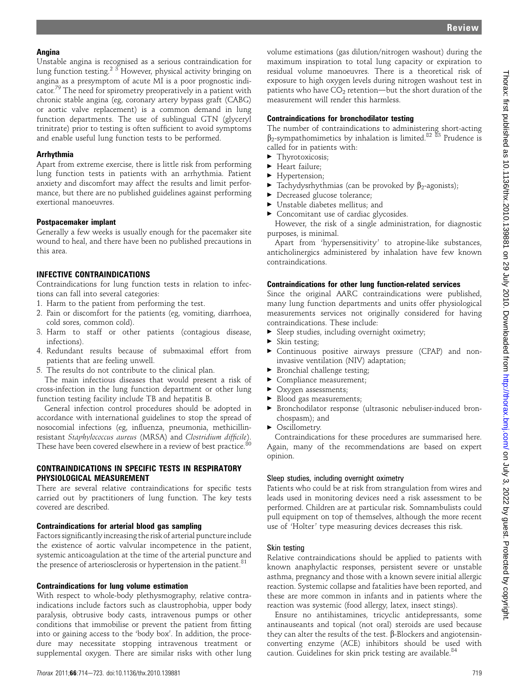#### **Angina**

Unstable angina is recognised as a serious contraindication for lung function testing.<sup>2</sup>  $\frac{3}{7}$  However, physical activity bringing on angina as a presymptom of acute MI is a poor prognostic indicator.<sup>79</sup> The need for spirometry preoperatively in a patient with chronic stable angina (eg, coronary artery bypass graft (CABG) or aortic valve replacement) is a common demand in lung function departments. The use of sublingual GTN (glyceryl trinitrate) prior to testing is often sufficient to avoid symptoms and enable useful lung function tests to be performed.

#### Arrhythmia

Apart from extreme exercise, there is little risk from performing lung function tests in patients with an arrhythmia. Patient anxiety and discomfort may affect the results and limit performance, but there are no published guidelines against performing exertional manoeuvres.

#### Postpacemaker implant

Generally a few weeks is usually enough for the pacemaker site wound to heal, and there have been no published precautions in this area.

#### INFECTIVE CONTRAINDICATIONS

Contraindications for lung function tests in relation to infections can fall into several categories:

- 1. Harm to the patient from performing the test.
- 2. Pain or discomfort for the patients (eg, vomiting, diarrhoea, cold sores, common cold).
- 3. Harm to staff or other patients (contagious disease, infections).
- 4. Redundant results because of submaximal effort from patients that are feeling unwell.
- 5. The results do not contribute to the clinical plan.

The main infectious diseases that would present a risk of cross-infection in the lung function department or other lung function testing facility include TB and hepatitis B.

General infection control procedures should be adopted in accordance with international guidelines to stop the spread of nosocomial infections (eg, influenza, pneumonia, methicillinresistant Staphylococcus aureus (MRSA) and Clostridium difficile). These have been covered elsewhere in a review of best practice.<sup>8</sup>

#### CONTRAINDICATIONS IN SPECIFIC TESTS IN RESPIRATORY PHYSIOLOGICAL MEASUREMENT

There are several relative contraindications for specific tests carried out by practitioners of lung function. The key tests covered are described.

#### Contraindications for arterial blood gas sampling

Factors significantly increasing the risk of arterial puncture include the existence of aortic valvular incompetence in the patient, systemic anticoagulation at the time of the arterial puncture and the presence of arteriosclerosis or hypertension in the patient.<sup>81</sup>

#### Contraindications for lung volume estimation

With respect to whole-body plethysmography, relative contraindications include factors such as claustrophobia, upper body paralysis, obtrusive body casts, intravenous pumps or other conditions that immobilise or prevent the patient from fitting into or gaining access to the 'body box'. In addition, the procedure may necessitate stopping intravenous treatment or supplemental oxygen. There are similar risks with other lung volume estimations (gas dilution/nitrogen washout) during the maximum inspiration to total lung capacity or expiration to residual volume manoeuvres. There is a theoretical risk of exposure to high oxygen levels during nitrogen washout test in patients who have  $CO<sub>2</sub>$  retention—but the short duration of the measurement will render this harmless.

#### Contraindications for bronchodilator testing

The number of contraindications to administering short-acting  $\beta_2$ -sympathomimetics by inhalation is limited.<sup>82 83</sup> Prudence is called for in patients with:

- < Thyrotoxicosis;
- $\blacktriangleright$  Heart failure;
- < Hypertension;
- Tachydysrhythmias (can be provoked by  $\beta_2$ -agonists);
- < Decreased glucose tolerance;
- < Unstable diabetes mellitus; and
- < Concomitant use of cardiac glycosides. However, the risk of a single administration, for diagnostic purposes, is minimal.

Apart from 'hypersensitivity' to atropine-like substances, anticholinergics administered by inhalation have few known contraindications.

#### Contraindications for other lung function-related services

Since the original AARC contraindications were published, many lung function departments and units offer physiological measurements services not originally considered for having contraindications. These include:

- $\blacktriangleright$  Sleep studies, including overnight oximetry;
- Skin testing;
- ▶ Continuous positive airways pressure (CPAP) and noninvasive ventilation (NIV) adaptation;
- $\blacktriangleright$  Bronchial challenge testing;
- < Compliance measurement;
- < Oxygen assessments;
- < Blood gas measurements;
- < Bronchodilator response (ultrasonic nebuliser-induced bronchospasm); and
- $\triangleright$  Oscillometry.

Contraindications for these procedures are summarised here. Again, many of the recommendations are based on expert opinion.

#### Sleep studies, including overnight oximetry

Patients who could be at risk from strangulation from wires and leads used in monitoring devices need a risk assessment to be performed. Children are at particular risk. Somnambulists could pull equipment on top of themselves, although the more recent use of 'Holter' type measuring devices decreases this risk.

#### Skin testing

Relative contraindications should be applied to patients with known anaphylactic responses, persistent severe or unstable asthma, pregnancy and those with a known severe initial allergic reaction. Systemic collapse and fatalities have been reported, and these are more common in infants and in patients where the reaction was systemic (food allergy, latex, insect stings).

Ensure no antihistamines, tricyclic antidepressants, some antinauseants and topical (not oral) steroids are used because they can alter the results of the test.  $\beta$ -Blockers and angiotensinconverting enzyme (ACE) inhibitors should be used with caution. Guidelines for skin prick testing are available.<sup>84</sup>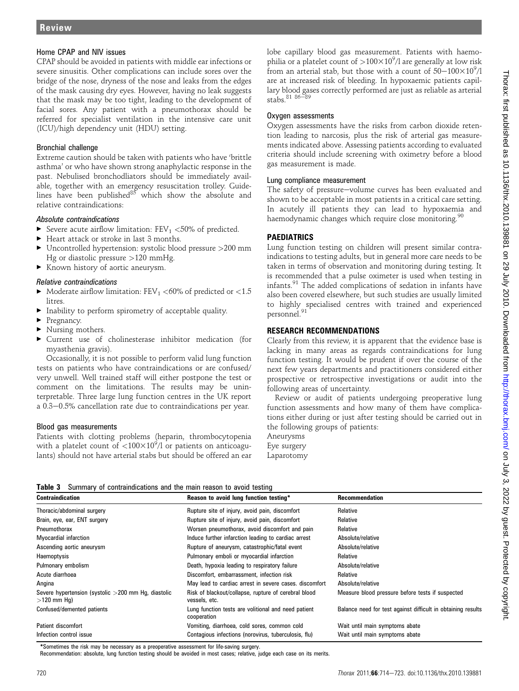#### Home CPAP and NIV issues

CPAP should be avoided in patients with middle ear infections or severe sinusitis. Other complications can include sores over the bridge of the nose, dryness of the nose and leaks from the edges of the mask causing dry eyes. However, having no leak suggests that the mask may be too tight, leading to the development of facial sores. Any patient with a pneumothorax should be referred for specialist ventilation in the intensive care unit (ICU)/high dependency unit (HDU) setting.

#### Bronchial challenge

Extreme caution should be taken with patients who have 'brittle asthma' or who have shown strong anaphylactic response in the past. Nebulised bronchodliators should be immediately available, together with an emergency resuscitation trolley. Guidelines have been published $85$  which show the absolute and relative contraindications:

#### Absolute contraindications

- Severe acute airflow limitation:  $FEV_1 < 50\%$  of predicted.
- ▶ Heart attack or stroke in last 3 months.
- < Uncontrolled hypertension: systolic blood pressure >200 mm Hg or diastolic pressure  $>120$  mmHg.
- < Known history of aortic aneurysm.

#### Relative contraindications

- Moderate airflow limitation:  $FEV_1 < 60\%$  of predicted or  $< 1.5$ **litres**
- $\blacktriangleright$  Inability to perform spirometry of acceptable quality.
- Pregnancy.
- Nursing mothers.
- < Current use of cholinesterase inhibitor medication (for myasthenia gravis).

Occasionally, it is not possible to perform valid lung function tests on patients who have contraindications or are confused/ very unwell. Well trained staff will either postpone the test or comment on the limitations. The results may be uninterpretable. Three large lung function centres in the UK report a 0.3-0.5% cancellation rate due to contraindications per year.

#### Blood gas measurements

Patients with clotting problems (heparin, thrombocytopenia with a platelet count of  $<$ 100 $\times10^9$ /l or patients on anticoagulants) should not have arterial stabs but should be offered an ear lobe capillary blood gas measurement. Patients with haemophilia or a platelet count of  $>$  100 $\times$  10<sup>9</sup>/l are generally at low risk from an arterial stab, but those with a count of  $50-100\times10^9$ / are at increased risk of bleeding. In hypoxaemic patients capillary blood gases correctly performed are just as reliable as arterial stabs.  $8186 - 89$ 

#### Oxygen assessments

Oxygen assessments have the risks from carbon dioxide retention leading to narcosis, plus the risk of arterial gas measurements indicated above. Assessing patients according to evaluated criteria should include screening with oximetry before a blood gas measurement is made.

#### Lung compliance measurement

The safety of pressure-volume curves has been evaluated and shown to be acceptable in most patients in a critical care setting. In acutely ill patients they can lead to hypoxaemia and haemodynamic changes which require close monitoring.<sup>90</sup>

#### PAEDIATRICS

Lung function testing on children will present similar contraindications to testing adults, but in general more care needs to be taken in terms of observation and monitoring during testing. It is recommended that a pulse oximeter is used when testing in infants.<sup>91</sup> The added complications of sedation in infants have also been covered elsewhere, but such studies are usually limited to highly specialised centres with trained and experienced personnel.<sup>91</sup>

#### RESEARCH RECOMMENDATIONS

Clearly from this review, it is apparent that the evidence base is lacking in many areas as regards contraindications for lung function testing. It would be prudent if over the course of the next few years departments and practitioners considered either prospective or retrospective investigations or audit into the following areas of uncertainty.

Review or audit of patients undergoing preoperative lung function assessments and how many of them have complications either during or just after testing should be carried out in the following groups of patients:

Aneurysms Eye surgery Laparotomy

|  | Table 3 Summary of contraindications and the main reason to avoid testing |  |  |  |  |
|--|---------------------------------------------------------------------------|--|--|--|--|
|  |                                                                           |  |  |  |  |

| <b>Contraindication</b>                                                  | Reason to avoid lung function testing*                                | <b>Recommendation</b>                                        |
|--------------------------------------------------------------------------|-----------------------------------------------------------------------|--------------------------------------------------------------|
| Thoracic/abdominal surgery                                               | Rupture site of injury, avoid pain, discomfort                        | Relative                                                     |
| Brain, eye, ear, ENT surgery                                             | Rupture site of injury, avoid pain, discomfort                        | Relative                                                     |
| Pneumothorax                                                             | Worsen pneumothorax, avoid discomfort and pain                        | Relative                                                     |
| <b>Myocardial infarction</b>                                             | Induce further infarction leading to cardiac arrest                   | Absolute/relative                                            |
| Ascending aortic aneurysm                                                | Rupture of aneurysm, catastrophic/fatal event                         | Absolute/relative                                            |
| Haemoptysis                                                              | Pulmonary emboli or myocardial infarction                             | Relative                                                     |
| Pulmonary embolism                                                       | Death, hypoxia leading to respiratory failure                         | Absolute/relative                                            |
| Acute diarrhoea                                                          | Discomfort, embarrassment, infection risk                             | Relative                                                     |
| Angina                                                                   | May lead to cardiac arrest in severe cases. discomfort                | Absolute/relative                                            |
| Severe hypertension (systolic $>$ 200 mm Hq, diastolic<br>$>$ 120 mm Hq) | Risk of blackout/collapse, rupture of cerebral blood<br>vessels, etc. | Measure blood pressure before tests if suspected             |
| Confused/demented patients                                               | Lung function tests are volitional and need patient<br>cooperation    | Balance need for test against difficult in obtaining results |
| Patient discomfort                                                       | Vomiting, diarrhoea, cold sores, common cold                          | Wait until main symptoms abate                               |
| Infection control issue                                                  | Contagious infections (norovirus, tuberculosis, flu)                  | Wait until main symptoms abate                               |

\*Sometimes the risk may be necessary as a preoperative assessment for life-saving surgery.

Recommendation: absolute, lung function testing should be avoided in most cases; relative, judge each case on its merits.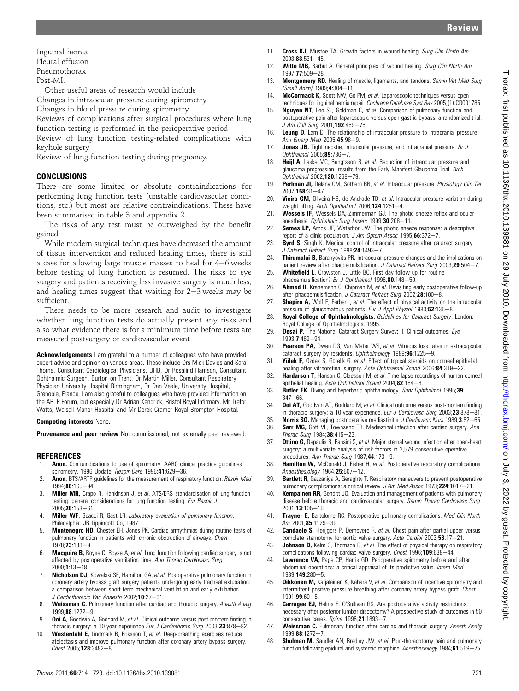Inguinal hernia Pleural effusion Pneumothorax Post-MI.

Other useful areas of research would include

Changes in intraocular pressure during spirometry

Changes in blood pressure during spirometry

Reviews of complications after surgical procedures where lung function testing is performed in the perioperative period

Review of lung function testing-related complications with keyhole surgery

Review of lung function testing during pregnancy.

#### CONCLUSIONS

There are some limited or absolute contraindications for performing lung function tests (unstable cardiovascular conditions, etc.) but most are relative contraindications. These have been summarised in table 3 and appendix 2.

The risks of any test must be outweighed by the benefit gained.

While modern surgical techniques have decreased the amount of tissue intervention and reduced healing times, there is still a case for allowing large muscle masses to heal for  $4-6$  weeks before testing of lung function is resumed. The risks to eye surgery and patients receiving less invasive surgery is much less, and healing times suggest that waiting for  $2-3$  weeks may be sufficient.

There needs to be more research and audit to investigate whether lung function tests do actually present any risks and also what evidence there is for a minimum time before tests are measured postsurgery or cardiovascular event.

Acknowledgements I am grateful to a number of colleagues who have provided expert advice and opinion on various areas. These include Drs Mick Davies and Sara Thorne, Consultant Cardiological Physicians, UHB, Dr Rosalind Harrison, Consultant Ophthalmic Surgeon, Burton on Trent, Dr Martin Miller, Consultant Respiratory Physician University Hospital Birmingham, Dr Dan Veale, University Hospital, Grenoble, France. I am also grateful to colleagues who have provided information on the ARTP Forum, but especially Dr Adrian Kendrick, Bristol Royal Infirmary, Mr Trefor Watts, Walsall Manor Hospital and Mr Derek Cramer Royal Brompton Hospital.

#### Competing interests None.

Provenance and peer review Not commissioned; not externally peer reviewed.

#### **REFERENCES**

- 1. **Anon.** Contraindications to use of spirometry. AARC clinical practice guidelines spirometry. 1996 Update. Respir Care 1996;41:629-36.
- 2. **Anon.** BTS/ARTP guidelines for the measurement of respiratory function. Respir Med 1994:88:165-94.
- 3. **Miller MR,** Crapo R, Hankinson J, et al. ATS/ERS standardisation of luna function testing: general considerations for lung function testing. Eur Respir J 2005:26:153-61.
- 4. Miller WF, Scacci R, Gast LR. Laboratory evaluation of pulmonary function. Philadelphia: JB Lippincott Co, 1987.
- 5. Montenegro HD, Chester EH, Jones PK. Cardiac arrhythmias during routine tests of pulmonary function in patients with chronic obstruction of airways. Chest 1978;73:133-9.
- 6. Macguire B, Royse C, Royse A, et al. Lung function following cardiac surgery is not affected by postoperative ventilation time. Ann Thorac Cardiovasc Surg  $2000 \cdot 1.13 - 18$
- 7. Nicholson DJ, Kowalski SE, Hamilton GA, et al. Postoperative pulmonary function in coronary artery bypass graft surgery patients undergoing early tracheal extubation: a comparison between short-term mechanical ventilation and early extubation. J Cardiothoracic Vac Anaesth 2002;10:27-31.
- 8. Weissman C. Pulmonary function after cardiac and thoracic surgery. Anesth Analg 1999:88:1272-9.
- 9. **Ooi A,** Goodwin A, Goddard M, et al. Clinical outcome versus post-mortem finding in thoracic surgery: a 10-year experience Eur J Cardiothorac Surg 2003;23:878-82.
- 10. Westerdahl E, Lindmark B, Eriksson T, et al. Deep-breathing exercises reduce atelectasis and improve pulmonary function after coronary artery bypass surgery.  $Check 2005; 128:3482-8.$
- 11. **Cross KJ**, Mustoe TA, Growth factors in wound healing. Surg Clin North Am  $2003:83:531-45$
- 12. Witte MB, Barbul A. General principles of wound healing. Surg Clin North Am 1997:77:509-28
- 13. Montgomery RD. Healing of muscle, ligaments, and tendons. Semin Vet Med Surg  $(Small Animal 1989:4:304-11.$
- 14. McCormack K, Scott NW, Go PM, et al. Laparoscopic techniques versus open techniques for inguinal hernia repair. Cochrane Database Syst Rev 2005;(1):CD001785.
- 15. Nguyen NT, Lee SL, Goldman C, et al. Comparison of pulmonary function and postoperative pain after laparoscopic versus open gastric bypass: a randomized trial. J Am Coll Surg 2001;192:469-76.
- 16. Leung D, Lam D. The relationship of intraocular pressure to intracranial pressure. Ann Emerg Med 2005;45:98-9.
- 17. **Jonas JB.** Tight necktie, intraocular pressure, and intracranial pressure. Br J Ophthalmol  $2005:89:786-7$ .
- 18. Heijl A, Leske MC, Bengtsson B, et al. Reduction of intraocular pressure and glaucoma progression: results from the Early Manifest Glaucoma Trial. Arch Ophthalmol 2002;120:1268-79.
- 19. Perlman JI, Delany CM, Sothern RB, et al. Intraocular pressure. Physiology Clin Ter  $2007;158:31-47.$
- 20. **Vieira GM,** Oliveira HB, de Andrade TD, et al. Intraocular pressure variation during weight lifting. Arch Ophthalmol 2006;124:1251-4.
- 21. Wessels IF, Wessels DA, Zimmerman GJ. The photic sneeze reflex and ocular anesthesia. Ophthalmic Surg Lasers 1999;30:208-11.
- **Semes LP, Amos JF, Waterbor JW. The photic sneeze response: a descriptive** report of a clinic population. J Am Optom Assoc 1995;66:372-7.
- 23. Byrd S, Singh K. Medical control of intraocular pressure after cataract surgery. J Cataract Refract Surg 1998;24:1493-7.
- 24. Thirumalai B, Baranyovits PR. Intraocular pressure changes and the implications on patient review after phacoemulsification. J Cataract Refract Surg 2003;29:504-7.
- 25. Whitefield L, Crowston J, Little BC. First day follow up for routine
- phacoemulsification? Br J Ophthalmol 1996;80:148-50. 26. Ahmed II, Kranemann C, Chipman M, et al. Revisiting early postoperative follow-up
- after phacoemulsification. J Cataract Refract Surg  $2002;28:100-8$ . 27. **Shapiro A,** Wolf E, Ferber I, et al. The effect of physical activity on the intraocular
- pressure of glaucomatous patients. Eur J Appl Physiol 1983;52:136-8. 28. Royal College of Ophthalmologists. Guidelines for Cataract Surgery. London:
- Royal College of Ophthalmologists, 1995.
- 29. **Desai P.** The National Cataract Surgery Survey: II. Clinical outcomes. Eye 1993;7:489-94.
- 30. Pearson PA, Owen DG, Van Meter WS, et al. Vitreous loss rates in extracapsular cataract surgery by residents. Ophthalmology 1989;96:1225-9.
- 31. **Yülek F,** Ozdek S, Gürelik G, et al. Effect of topical steroids on corneal epithelial healing after vitreoretinal surgery. Acta Ophthalmol Scand 2006;84:319-22.
- 32. **Hardarson T,** Hanson C, Claesson M, et al. Time-lapse recordings of human corneal epithelial healing. Acta Ophthalmol Scand 2004;82:184-8.
- 33. Butler FK. Diving and hyperbaric ophthalmology, Surv Ophthalmol 1995;39:  $347 - 66$
- 34. **Ooi AT,** Goodwin AT, Goddard M, et al. Clinical outcome versus post-mortem finding
- in thoracic surgery: a 10-year experience. Eur J Cardiovasc Surg 2003;23:878-81. 35. Norris SO. Managing postoperative mediastinitis. J Cardiovasc Nurs 1989;3:52-65.
- 36. Sarr MG, Gott VL, Townsend TR. Mediastinal infection after cardiac surgery. Ann
- Thorac Surg  $1984;38:415-23$ . 37. **Ottino G,** Depaulis R, Pansini S, et al. Major sternal wound infection after open-heart surgery: a multivariate analysis of risk factors in 2,579 consecutive operative procedures. Ann Thorac Surg 1987;44:173-9.
- 38. Hamilton W, McDonald J, Fisher H, et al. Postoperative respiratory complications. Anaesthesiology  $1964;25:607-12$ .
- 39. **Bartlett R,** Gazzaniga A, Geraghty T. Respiratory maneuvers to prevent postoperative pulmonary complications: a critical review.  $JAm$  Med Assoc 1973:224:1017-21.
- 40. **Kempainen RR,** Benditt JO. Evaluation and management of patients with pulmonary disease before thoracic and cardiovascular surgery. Semin Thorac Cardiovasc Surg 2001;13:105-15.
- 41. Trayner E, Bartolome RC. Postoperative pulmonary complications. Med Clin North Am 2001;85:1129-39.
- 42. **Candaele S,** Herijgers P, Demeyere R, et al. Chest pain after partial upper versus complete sternotomy for aortic valve surgery. Acta Cardiol 2003;58:17-21.
- 43. **Johnson D,** Kelm C, Thomson D, et al. The effect of physical therapy on respiratory complications following cardiac valve surgery. Chest 1996;109:638-44.
- 44. **Lawrence VA, Page CP, Harris GD. Perioperative spirometry before and after** abdominal operations: a critical appraisal of its predictive value. Intern Med 1989:149:280-5.
- 45. Oikkonen M, Karjalainen K, Kahara V, et al. Comparison of incentive spirometry and intermittent positive pressure breathing after coronary artery bypass graft. Chest  $1991.99.60 - 5$
- 46. **Carragee EJ,** Helms E, O'Sullivan GS. Are postoperative activity restrictions necessary after posterior lumbar discectomy? A prospective study of outcomes in 50 consecutive cases. Spine  $1996;$ **21**:1893-7.
- 47. Weissman C. Pulmonary function after cardiac and thoracic surgery. Anesth Analg  $1999:88:1272 - 7.$
- 48. **Shulman M,** Sandler AN, Bradley JW, et al. Post-thoracotomy pain and pulmonary function following epidural and systemic morphine. Anesthesiology 1984;61:569-75.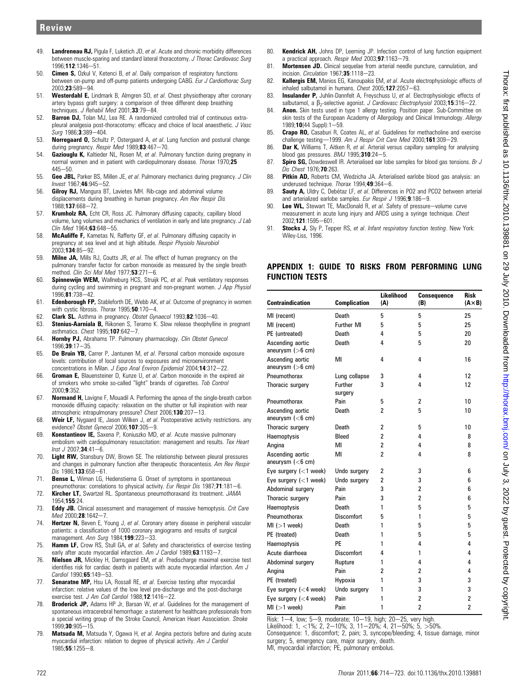#### Review

- 49. **Landreneau RJ**, Pigula F, Luketich JD, et al. Acute and chronic morbidity differences between muscle-sparing and standard lateral thoracotomy. J Thorac Cardiovasc Surg 1996;112:1346-51.
- 50. **Cimen S,** Ozkul V, Ketenci B, et al. Daily comparison of respiratory functions between on-pump and off-pump patients undergoing CABG. Eur J Cardiothorac Surg 2003:23:589-94
- 51. Westerdahl E, Lindmark B, Almgren SO, et al. Chest physiotherapy after coronary artery bypass graft surgery: a comparison of three different deep breathing techniques. J Rehabil Med  $2001;33:79-84$ .
- 52. Barron DJ, Tolan MJ, Lea RE. A randomized controlled trial of continuous extrapleural analgesia post-thoracotomy: efficacy and choice of local anaesthetic. J Vasc Sura 1986:3:389-404.
- 53. **Norregaard O,** Schultz P, Ostergaard A, et al. Lung function and postural change during pregnancy. Respir Med  $1989;83:467-70$ .
- 54. **Gaziouglu K,** Kaltieder NL, Rosen M, et al. Pulmonary function during pregnany in normal women and in patient with cardiopulmonary disease. Thorax 1970;25  $445 - 50$
- 55. Gee JBL, Parker BS, Millen JE, et al. Pulmonary mechanics during pregnancy. J Clin Invest 1967;46:945-52.
- 56. Gilroy RJ, Mangura BT, Lavietes MH. Rib-cage and abdominal volume displacements during breathing in human pregnancy. Am Rev Respir Dis 1988:137:668-72.
- 57. Krumholz RA, Echt CR, Ross JC. Pulmonary diffusing capacity, capillary blood volume, lung volumes and mechanics of ventilation in early and late pregnancy. J Lab  $Clin$  Med 1964:63:648-55.
- 58. McAuliffe F, Kametas N, Rafferty GF, et al. Pulmonary diffusing capacity in pregnancy at sea level and at high altitude. Respir Physiolo Neurobiol  $2003:134:85-92.$
- 59. **Milne JA,** Mills RJ, Coutts JR, et al. The effect of human pregnancy on the pulmonary transfer factor for carbon monoxide as measured by the single breath method. Clin Sci Mol Med 1977;53:271-6.
- 60. Spinnewijn WEM, Wallneburg HCS, Struijk PC, et al. Peak ventilatory responses during cycling and swimming in pregnant and non-pregnant women. J App Physiol 1996:81:738-42
- 61. **Edenborough FP,** Stableforth DE, Webb AK, et al. Outcome of pregnancy in women with cystic fibrosis. Thorax  $1995:50:170-4$ .
- 62. **Clark SL.** Asthma in pregnancy. *Obstet Gynaecol* 1993;82:1036-40.<br>63. **Stenius-Aarniala B.** Rijkonen S. Teramo K. Slow release theophyllin
- Stenius-Aarniala B, Riikonen S, Teramo K. Slow release theophylline in pregnant asthmatics. Chest  $1995; 107:642-7$ .
- 64. **Hornby PJ,** Abrahams TP. Pulmonary pharmacology. Clin Obstet Gynecol  $1996:39:17-35$
- 65. De Bruin YB, Carrer P, Jantunen M, et al. Personal carbon monoxide exposure levels: contribution of local sources to exposures and microenvironment concentrations in Milan. J Expo Anal Environ Epidemiol 2004;14:312-22.
- 66. **Groman E,** Blauensteiner D, Kunze U, et al. Carbon monoxide in the expired air of smokers who smoke so-called "light" brands of cigarettes. Tob Control 2000;9:352.
- 67. **Normand H,** Lavigne F, Mouadil A. Performing the apnea of the single-breath carbon monoxide diffusing capacity: relaxation on the shutter or full inspiration with near atmospheric intrapulmonary pressure? Chest 2006;130:207-13.
- 68. Weir LF, Nygaard IE, Jason Wilken J, et al. Postoperative activity restrictions. any evidence? Obstet Gynecol 2006;107:305-9.
- 69. Konstantinov IE, Saxena P, Koniuszko MD, et al. Acute massive pulmonary embolism with cardiopulmonary resuscitation: management and results. Tex Heart  $Inst J 2007;34:41–6.$
- 70. Light RW, Stansbury DW, Brown SE. The relationship between pleural pressures and changes in pulmonary function after therapeutic thoracentesis. Am Rev Respir Dis 1986;133:658-61.
- 71. Bense L, Wiman LG, Hedenstierna G. Onset of symptoms in spontaneous pneumothorax: correlations to physical activity. Eur Respir Dis 1987;71:181-6.
- 72. **Kircher LT,** Swartzel RL. Spontaneous pneumothoraxand its treatment. JAMA 1954;155:24.
- 73. Eddy JB. Clinical assessment and management of massive hemoptysis. Crit Care Med 2000:28:1642-7.
- 74. **Hertzer N,** Beven E, Young J, et al. Coronary artery disease in peripheral vascular patients: a classification of 1000 coronary angiograms and results of surgical management. Ann Surg 1984;199:223-33.
- 75. Hamm LF, Crow RS, Stull GA, et al. Safety and characteristics of exercise testing early after acute myocardial infarction. Am  $J$  Cardiol 1989; 63:1193-7.
- 76. Nielsen JR, Mickley H, Damsgaard EM, et al. Predischarge maximal exercise test identifies risk for cardiac death in patients with acute myocardial infarction. Am J  $Cardiol$  1990; $65:149-53.$
- 77. Senaratne MP, Hsu LA, Rossall RE, et al. Exercise testing after myocardial infarction: relative values of the low level pre-discharge and the post-discharge exercise test. J Am Coll Cardiol  $1988; 12:1416 - 22$ .
- 78. Broderick JP, Adams HP Jr, Barsan W, et al. Guidelines for the management of spontaneous intracerebral hemorrhage: a statement for healthcare professionals from a special writing group of the Stroke Council, American Heart Association. Stroke 1999;30:905-15.
- 79. Matsuda M, Matsuda Y, Ogawa H, et al. Angina pectoris before and during acute myocardial infarction: relation to degree of physical activity. Am J Cardiol 1985:55:1255-8.
- 80. **Kendrick AH**, Johns DP, Leeming JP, Infection control of lung function equipment a practical approach. Respir Med 2003;97:1163-79.
- 81. **Mortensen JD.** Clinical sequelae from arterial needle puncture, cannulation, and incision. Circulation  $1967;35:1118-23$ .
- 82. Kallergis EM, Manios EG, Kanoupakis EM, et al. Acute electrophysiologic effects of inhaled salbutamol in humans. Chest  $2005:127:2057-63$ .
- 83. **Insulander P,** Juhlin-Dannfelt A, Freyschuss U, et al. Electrophysiologic effects of salbutamol, a  $\beta_2$ -selective agonist. *J Cardiovasc Electrophysiol* 2003;15:316-22.
- 84. **Anon.** Skin tests used in type 1 allergy testing. Position paper. Sub-Committee on skin tests of the European Academy of Allergology and Clinical Immunology. Allergy  $1989:10(44$  Suppl): $1-59$ .
- 85. Crapo RO, Casaburi R, Coates AL, et al. Guidelines for methacholine and exercise challenge testing-1999. Am J Respir Crit Care Med 2000;161:309-29.
- 86. **Dar K,** Williams T, Aitken R, et al. Arterial versus capillary sampling for analysing blood gas pressures.  $BMJ$  1995: $310$ :24-5.
- 87. Spiro SG, Dowdeswell IR. Arterialised ear lobe samples for blood gas tensions. Br J Dis Chest 1976;70:263.
- 88. Pitkin AD, Roberts CM, Wedzicha JA. Arterialised earlobe blood gas analysis: an underused technique. Thorax  $1994;49:364-6$ .
- 89. Sauty A, Uldry C, Debétaz LF, et al. Differences in PO2 and PCO2 between arterial and arterialized earlobe samples. Eur Respir J 1996; 9:186-9.
- 90. Lee WL, Stewart TE, MacDonald R, et al. Safety of pressure-volume curve measurement in acute lung injury and ARDS using a syringe technique. Chest 2002;121:1595-601.
- 91. **Stocks J.** Sly P. Tepper RS, et al. Infant respiratory function testing. New York: Wiley-Liss, 1996.

#### APPENDIX 1: GUIDE TO RISKS FROM PERFORMING LUNG FUNCTION TESTS

| <b>Contraindication</b>                | <b>Complication</b> | Likelihood<br>(A) | <b>Consequence</b><br>(B) | <b>Risk</b><br>$(A \times B)$ |
|----------------------------------------|---------------------|-------------------|---------------------------|-------------------------------|
| MI (recent)                            | Death               | 5                 | 5                         | 25                            |
| MI (recent)                            | <b>Further MI</b>   | 5                 | 5                         | 25                            |
| PE (untreated)                         | Death               | 4                 | 5                         | 20                            |
| Ascending aortic<br>aneurysm $(>6$ cm) | Death               | 4                 | 5                         | 20                            |
| Ascending aortic<br>aneurysm $(>6$ cm) | MI                  | 4                 | 4                         | 16                            |
| Pneumothorax                           | Lung collapse       | 3                 | 4                         | 12                            |
| Thoracic surgery                       | Further<br>surgery  | 3                 | 4                         | 12                            |
| Pneumothorax                           | Pain                | 5                 | 2                         | 10                            |
| Ascending aortic<br>aneurysm $(6$ cm)  | Death               | 2                 | 5                         | 10                            |
| Thoracic surgery                       | Death               | 2                 | 5                         | 10                            |
| Haemoptysis                            | Bleed               | $\overline{2}$    | 4                         | 8                             |
| Angina                                 | MI                  | 2                 | 4                         | 8                             |
| Ascending aortic<br>aneurysm $(6$ cm)  | MI                  | 2                 | 4                         | 8                             |
| Eye surgery $(<1$ week)                | Undo surgery        | 2                 | 3                         | 6                             |
| Eye surgery $(<1$ week)                | Undo surgery        | $\overline{2}$    | 3                         | 6                             |
| Abdominal surgery                      | Pain                | 3                 | $\overline{2}$            | 6                             |
| Thoracic surgery                       | Pain                | 3                 | $\overline{2}$            | 6                             |
| Haemoptysis                            | Death               | 1                 | 5                         | 5                             |
| Pneumothorax                           | <b>Discomfort</b>   | 5                 | 1                         | 5                             |
| $MI(>1$ week)                          | Death               | 1                 | 5                         | 5                             |
| PE (treated)                           | Death               | 1                 | 5                         | 5                             |
| Haemoptysis                            | PF                  | 1                 | 4                         | 4                             |
| Acute diarrhoea                        | <b>Discomfort</b>   | 4                 | 1                         | 4                             |
| Abdominal surgery                      | Rupture             | 1                 | 4                         | 4                             |
| Angina                                 | Pain                | 2                 | 2                         | 4                             |
| PE (treated)                           | Hypoxia             | 1                 | 3                         | 3                             |
| Eye surgery $(4 week)$                 | Undo surgery        | 1                 | 3                         | 3                             |
| Eye surgery $(4 week)$                 | Pain                | 1                 | $\overline{2}$            | $\overline{2}$                |
| $MI(>1$ week)                          | Pain                | 1                 | $\overline{2}$            | $\overline{2}$                |

Risk:  $1-4$ , low;  $5-9$ , moderate;  $10-19$ , high;  $20-25$ , very high.

Likelihood: 1, <1%; 2, 2-10%; 3, 11-20%; 4, 21-50%; 5, >50%

Consequence: 1, discomfort; 2, pain; 3, syncope/bleeding; 4, tissue damage, minor surgery; 5, emergency care, major surgery, death.

MI, myocardial infarction; PE, pulmonary embolus.